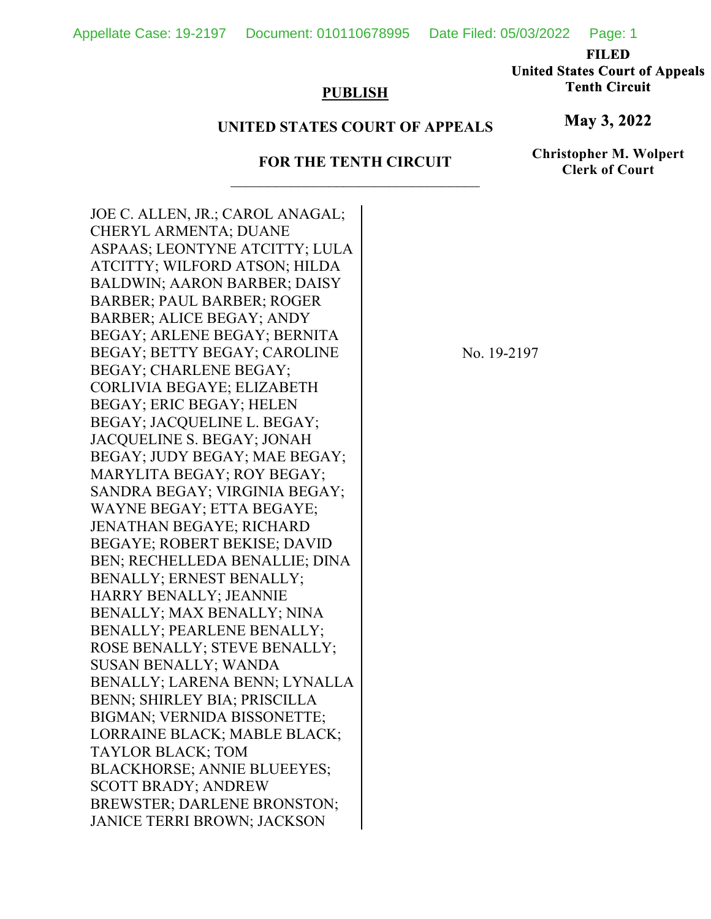Appellate Case: 19-2197 Document: 010110678995 Date Filed: 05/03/2022 Page: 1

**FILED** 

**United States Court of Appeals Tenth Circuit** 

## **PUBLISH**

## **UNITED STATES COURT OF APPEALS**

## **FOR THE TENTH CIRCUIT**

**Christopher M. Wolpert Clerk of Court**

**May 3, 2022**

JOE C. ALLEN, JR.; CAROL ANAGAL; CHERYL ARMENTA; DUANE ASPAAS; LEONTYNE ATCITTY; LULA ATCITTY; WILFORD ATSON; HILDA BALDWIN; AARON BARBER; DAISY BARBER; PAUL BARBER; ROGER BARBER; ALICE BEGAY; ANDY BEGAY; ARLENE BEGAY; BERNITA BEGAY; BETTY BEGAY; CAROLINE BEGAY; CHARLENE BEGAY; CORLIVIA BEGAYE; ELIZABETH BEGAY; ERIC BEGAY; HELEN BEGAY; JACQUELINE L. BEGAY; JACQUELINE S. BEGAY; JONAH BEGAY; JUDY BEGAY; MAE BEGAY; MARYLITA BEGAY; ROY BEGAY; SANDRA BEGAY; VIRGINIA BEGAY; WAYNE BEGAY; ETTA BEGAYE; JENATHAN BEGAYE; RICHARD BEGAYE; ROBERT BEKISE; DAVID BEN; RECHELLEDA BENALLIE; DINA BENALLY; ERNEST BENALLY; HARRY BENALLY; JEANNIE BENALLY; MAX BENALLY; NINA BENALLY; PEARLENE BENALLY; ROSE BENALLY; STEVE BENALLY; SUSAN BENALLY; WANDA BENALLY; LARENA BENN; LYNALLA BENN; SHIRLEY BIA; PRISCILLA BIGMAN; VERNIDA BISSONETTE; LORRAINE BLACK; MABLE BLACK; TAYLOR BLACK; TOM BLACKHORSE; ANNIE BLUEEYES; SCOTT BRADY; ANDREW BREWSTER; DARLENE BRONSTON; JANICE TERRI BROWN; JACKSON

No. 19-2197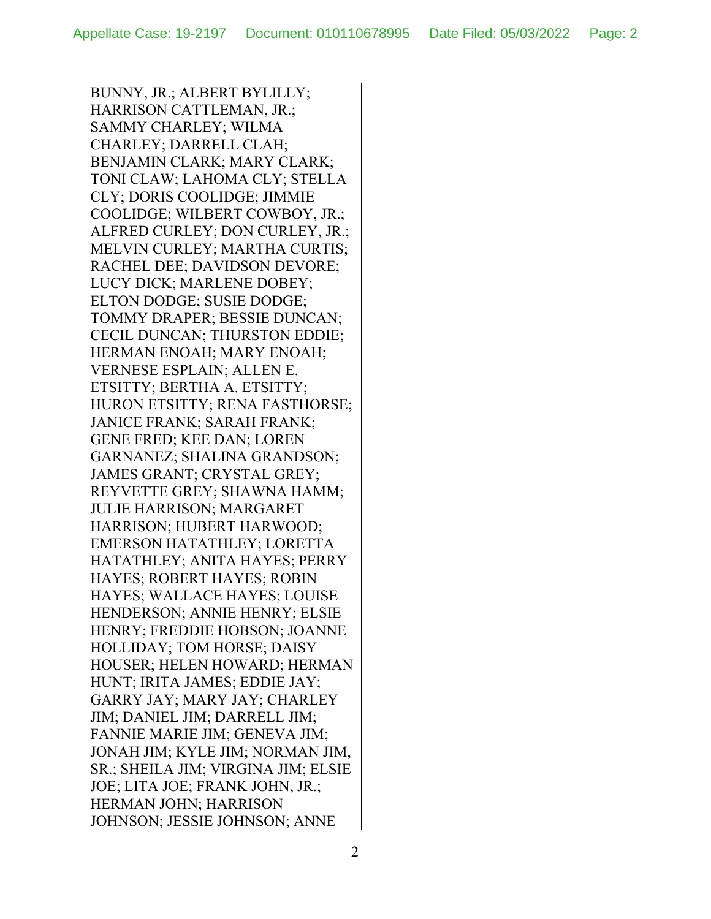BUNNY, JR.; ALBERT BYLILLY; HARRISON CATTLEMAN, JR.; SAMMY CHARLEY; WILMA CHARLEY; DARRELL CLAH; BENJAMIN CLARK; MARY CLARK; TONI CLAW; LAHOMA CLY; STELLA CLY; DORIS COOLIDGE; JIMMIE COOLIDGE; WILBERT COWBOY, JR.; ALFRED CURLEY; DON CURLEY, JR.; MELVIN CURLEY; MARTHA CURTIS; RACHEL DEE; DAVIDSON DEVORE; LUCY DICK; MARLENE DOBEY; ELTON DODGE; SUSIE DODGE; TOMMY DRAPER; BESSIE DUNCAN; CECIL DUNCAN; THURSTON EDDIE; HERMAN ENOAH; MARY ENOAH; VERNESE ESPLAIN; ALLEN E. ETSITTY; BERTHA A. ETSITTY; HURON ETSITTY; RENA FASTHORSE; JANICE FRANK; SARAH FRANK; GENE FRED; KEE DAN; LOREN GARNANEZ; SHALINA GRANDSON; JAMES GRANT; CRYSTAL GREY; REYVETTE GREY; SHAWNA HAMM; JULIE HARRISON; MARGARET HARRISON; HUBERT HARWOOD; EMERSON HATATHLEY; LORETTA HATATHLEY; ANITA HAYES; PERRY HAYES; ROBERT HAYES; ROBIN HAYES; WALLACE HAYES; LOUISE HENDERSON; ANNIE HENRY; ELSIE HENRY; FREDDIE HOBSON; JOANNE HOLLIDAY; TOM HORSE; DAISY HOUSER; HELEN HOWARD; HERMAN HUNT; IRITA JAMES; EDDIE JAY; GARRY JAY; MARY JAY; CHARLEY JIM; DANIEL JIM; DARRELL JIM; FANNIE MARIE JIM; GENEVA JIM; JONAH JIM; KYLE JIM; NORMAN JIM, SR.; SHEILA JIM; VIRGINA JIM; ELSIE JOE; LITA JOE; FRANK JOHN, JR.; HERMAN JOHN; HARRISON JOHNSON; JESSIE JOHNSON; ANNE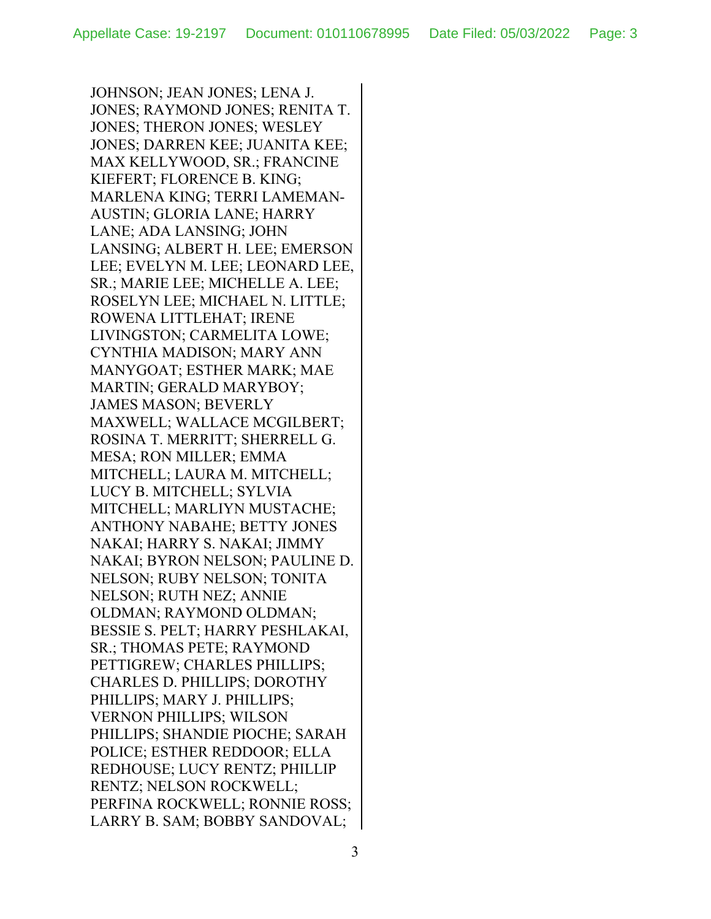JOHNSON; JEAN JONES; LENA J. JONES; RAYMOND JONES; RENITA T. JONES; THERON JONES; WESLEY JONES; DARREN KEE; JUANITA KEE; MAX KELLYWOOD, SR.; FRANCINE KIEFERT; FLORENCE B. KING; MARLENA KING; TERRI LAMEMAN-AUSTIN; GLORIA LANE; HARRY LANE; ADA LANSING; JOHN LANSING; ALBERT H. LEE; EMERSON LEE; EVELYN M. LEE; LEONARD LEE, SR.; MARIE LEE; MICHELLE A. LEE; ROSELYN LEE; MICHAEL N. LITTLE; ROWENA LITTLEHAT; IRENE LIVINGSTON; CARMELITA LOWE; CYNTHIA MADISON; MARY ANN MANYGOAT; ESTHER MARK; MAE MARTIN; GERALD MARYBOY; JAMES MASON; BEVERLY MAXWELL; WALLACE MCGILBERT; ROSINA T. MERRITT; SHERRELL G. MESA; RON MILLER; EMMA MITCHELL; LAURA M. MITCHELL; LUCY B. MITCHELL; SYLVIA MITCHELL; MARLIYN MUSTACHE; ANTHONY NABAHE; BETTY JONES NAKAI; HARRY S. NAKAI; JIMMY NAKAI; BYRON NELSON; PAULINE D. NELSON; RUBY NELSON; TONITA NELSON; RUTH NEZ; ANNIE OLDMAN; RAYMOND OLDMAN; BESSIE S. PELT; HARRY PESHLAKAI, SR.; THOMAS PETE; RAYMOND PETTIGREW; CHARLES PHILLIPS; CHARLES D. PHILLIPS; DOROTHY PHILLIPS; MARY J. PHILLIPS; VERNON PHILLIPS; WILSON PHILLIPS; SHANDIE PIOCHE; SARAH POLICE; ESTHER REDDOOR; ELLA REDHOUSE; LUCY RENTZ; PHILLIP RENTZ; NELSON ROCKWELL; PERFINA ROCKWELL; RONNIE ROSS; LARRY B. SAM; BOBBY SANDOVAL;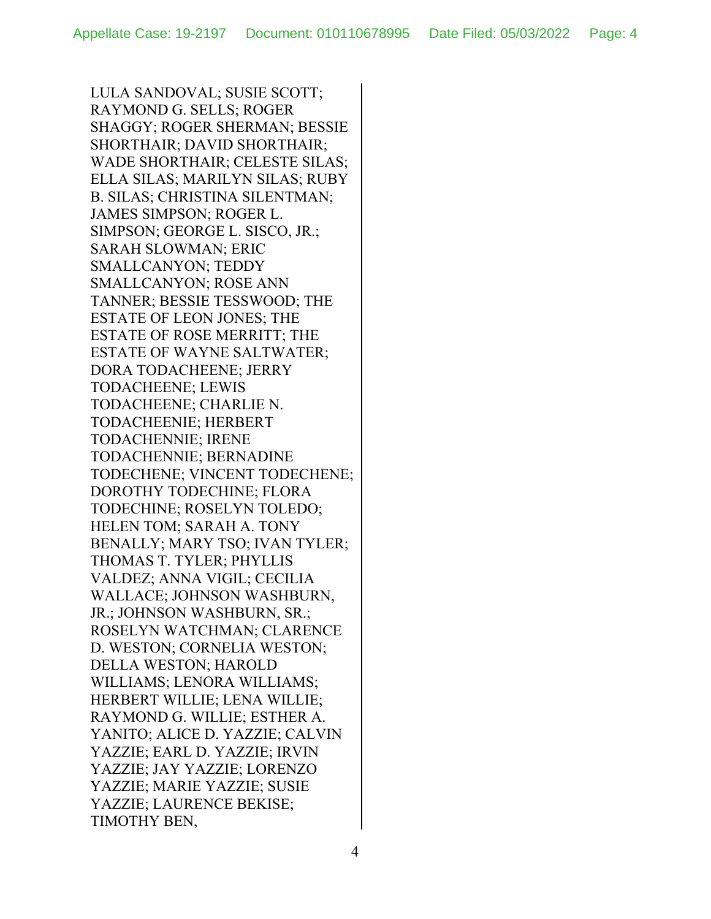LULA SANDOVAL; SUSIE SCOTT; RAYMOND G. SELLS; ROGER SHAGGY; ROGER SHERMAN; BESSIE SHORTHAIR; DAVID SHORTHAIR; WADE SHORTHAIR; CELESTE SILAS; ELLA SILAS; MARILYN SILAS; RUBY B. SILAS; CHRISTINA SILENTMAN; JAMES SIMPSON; ROGER L. SIMPSON; GEORGE L. SISCO, JR.; SARAH SLOWMAN; ERIC SMALLCANYON; TEDDY SMALLCANYON; ROSE ANN TANNER; BESSIE TESSWOOD; THE ESTATE OF LEON JONES; THE ESTATE OF ROSE MERRITT; THE ESTATE OF WAYNE SALTWATER; DORA TODACHEENE; JERRY TODACHEENE; LEWIS TODACHEENE; CHARLIE N. TODACHEENIE; HERBERT TODACHENNIE; IRENE TODACHENNIE; BERNADINE TODECHENE; VINCENT TODECHENE; DOROTHY TODECHINE; FLORA TODECHINE; ROSELYN TOLEDO; HELEN TOM; SARAH A. TONY BENALLY; MARY TSO; IVAN TYLER; THOMAS T. TYLER; PHYLLIS VALDEZ; ANNA VIGIL; CECILIA WALLACE; JOHNSON WASHBURN, JR.; JOHNSON WASHBURN, SR.; ROSELYN WATCHMAN; CLARENCE D. WESTON; CORNELIA WESTON; DELLA WESTON; HAROLD WILLIAMS; LENORA WILLIAMS; HERBERT WILLIE; LENA WILLIE; RAYMOND G. WILLIE; ESTHER A. YANITO; ALICE D. YAZZIE; CALVIN YAZZIE; EARL D. YAZZIE; IRVIN YAZZIE; JAY YAZZIE; LORENZO YAZZIE; MARIE YAZZIE; SUSIE YAZZIE; LAURENCE BEKISE; TIMOTHY BEN,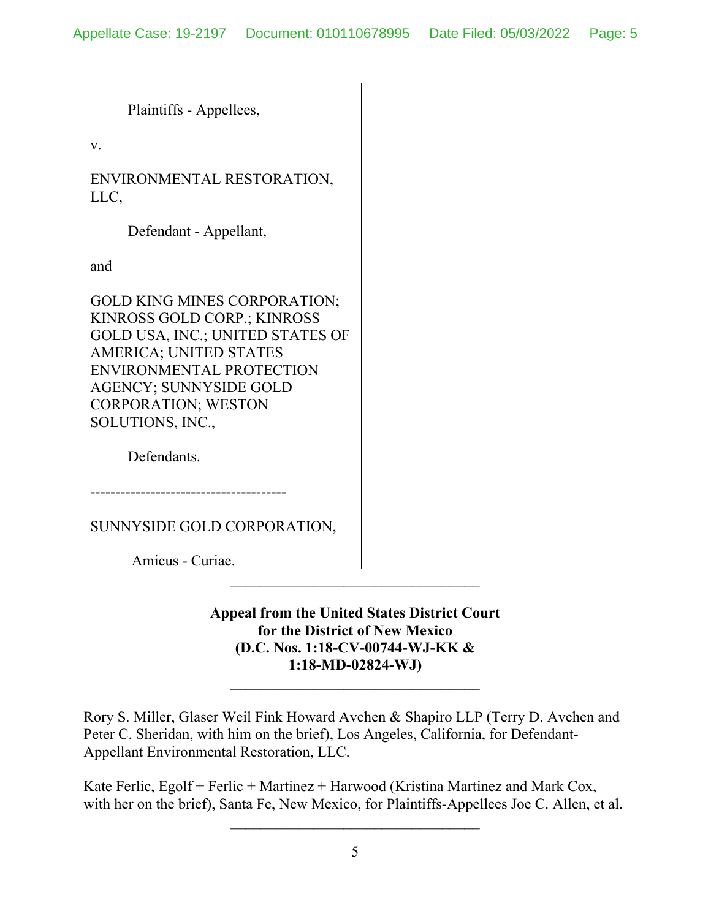Plaintiffs - Appellees,

v.

ENVIRONMENTAL RESTORATION, LLC,

Defendant - Appellant,

and

GOLD KING MINES CORPORATION; KINROSS GOLD CORP.; KINROSS GOLD USA, INC.; UNITED STATES OF AMERICA; UNITED STATES ENVIRONMENTAL PROTECTION AGENCY; SUNNYSIDE GOLD CORPORATION; WESTON SOLUTIONS, INC.,

Defendants.

---------------------------------------

SUNNYSIDE GOLD CORPORATION,

Amicus - Curiae.

**Appeal from the United States District Court for the District of New Mexico (D.C. Nos. 1:18-CV-00744-WJ-KK & 1:18-MD-02824-WJ)**

\_\_\_\_\_\_\_\_\_\_\_\_\_\_\_\_\_\_\_\_\_\_\_\_\_\_\_\_\_\_\_\_\_

Rory S. Miller, Glaser Weil Fink Howard Avchen & Shapiro LLP (Terry D. Avchen and Peter C. Sheridan, with him on the brief), Los Angeles, California, for Defendant-Appellant Environmental Restoration, LLC.

Kate Ferlic, Egolf + Ferlic + Martinez + Harwood (Kristina Martinez and Mark Cox, with her on the brief), Santa Fe, New Mexico, for Plaintiffs-Appellees Joe C. Allen, et al.

 $\mathcal{L}_\text{max}$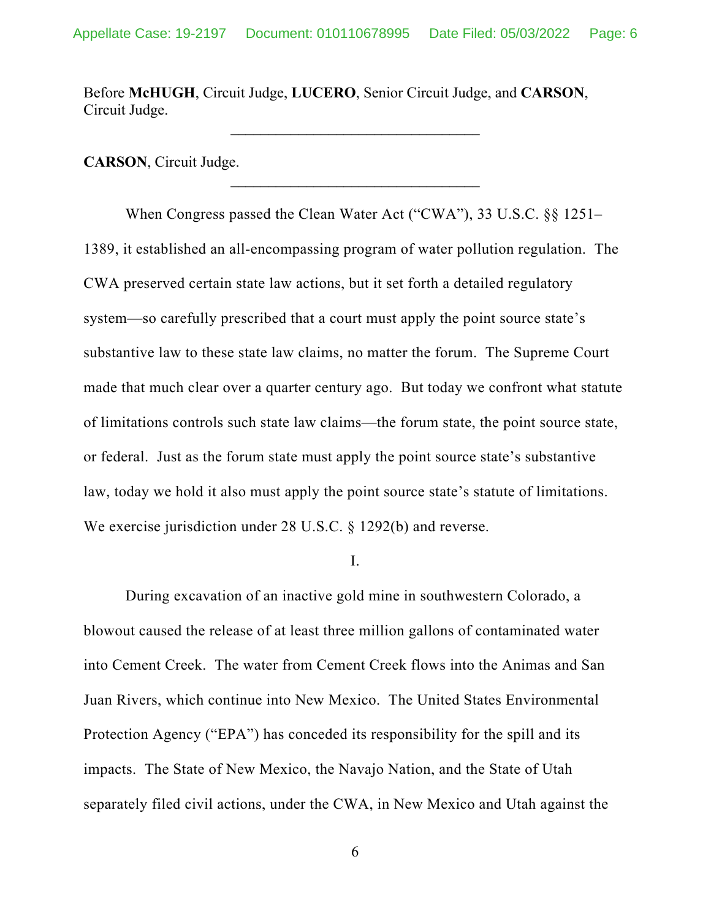Before **McHUGH**, Circuit Judge, **LUCERO**, Senior Circuit Judge, and **CARSON**, Circuit Judge.

**CARSON**, Circuit Judge.

When Congress passed the Clean Water Act ("CWA"), 33 U.S.C. §§ 1251– 1389, it established an all-encompassing program of water pollution regulation. The CWA preserved certain state law actions, but it set forth a detailed regulatory system—so carefully prescribed that a court must apply the point source state's substantive law to these state law claims, no matter the forum. The Supreme Court made that much clear over a quarter century ago. But today we confront what statute of limitations controls such state law claims—the forum state, the point source state, or federal. Just as the forum state must apply the point source state's substantive law, today we hold it also must apply the point source state's statute of limitations. We exercise jurisdiction under 28 U.S.C. § 1292(b) and reverse.

I.

During excavation of an inactive gold mine in southwestern Colorado, a blowout caused the release of at least three million gallons of contaminated water into Cement Creek. The water from Cement Creek flows into the Animas and San Juan Rivers, which continue into New Mexico. The United States Environmental Protection Agency ("EPA") has conceded its responsibility for the spill and its impacts. The State of New Mexico, the Navajo Nation, and the State of Utah separately filed civil actions, under the CWA, in New Mexico and Utah against the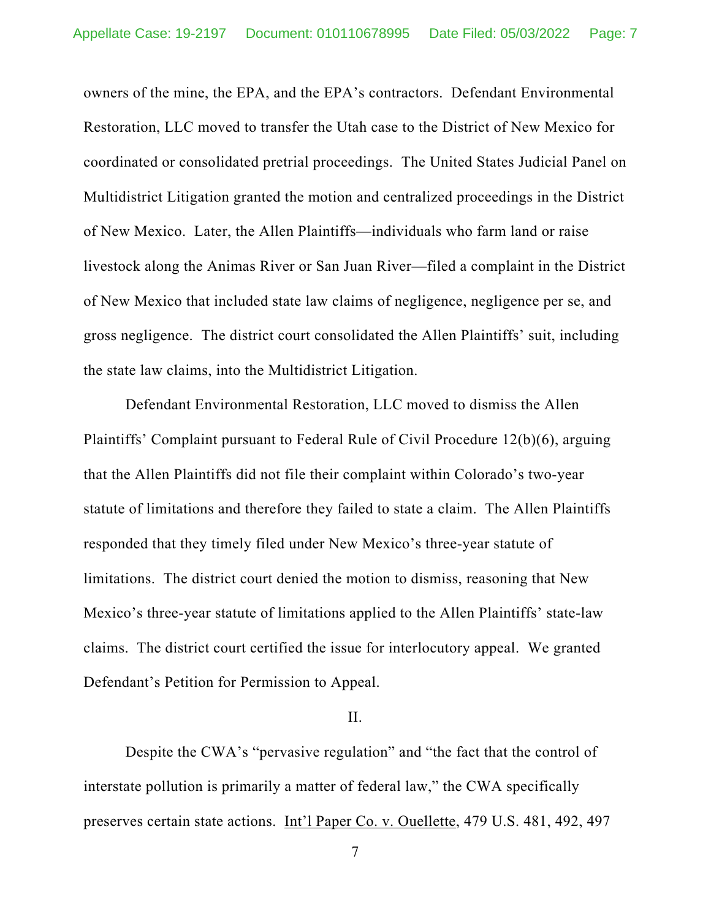owners of the mine, the EPA, and the EPA's contractors. Defendant Environmental Restoration, LLC moved to transfer the Utah case to the District of New Mexico for coordinated or consolidated pretrial proceedings. The United States Judicial Panel on Multidistrict Litigation granted the motion and centralized proceedings in the District of New Mexico. Later, the Allen Plaintiffs—individuals who farm land or raise livestock along the Animas River or San Juan River—filed a complaint in the District of New Mexico that included state law claims of negligence, negligence per se, and gross negligence. The district court consolidated the Allen Plaintiffs' suit, including the state law claims, into the Multidistrict Litigation.

Defendant Environmental Restoration, LLC moved to dismiss the Allen Plaintiffs' Complaint pursuant to Federal Rule of Civil Procedure 12(b)(6), arguing that the Allen Plaintiffs did not file their complaint within Colorado's two-year statute of limitations and therefore they failed to state a claim. The Allen Plaintiffs responded that they timely filed under New Mexico's three-year statute of limitations. The district court denied the motion to dismiss, reasoning that New Mexico's three-year statute of limitations applied to the Allen Plaintiffs' state-law claims. The district court certified the issue for interlocutory appeal. We granted Defendant's Petition for Permission to Appeal.

## II.

Despite the CWA's "pervasive regulation" and "the fact that the control of interstate pollution is primarily a matter of federal law," the CWA specifically preserves certain state actions. Int'l Paper Co. v. Ouellette, 479 U.S. 481, 492, 497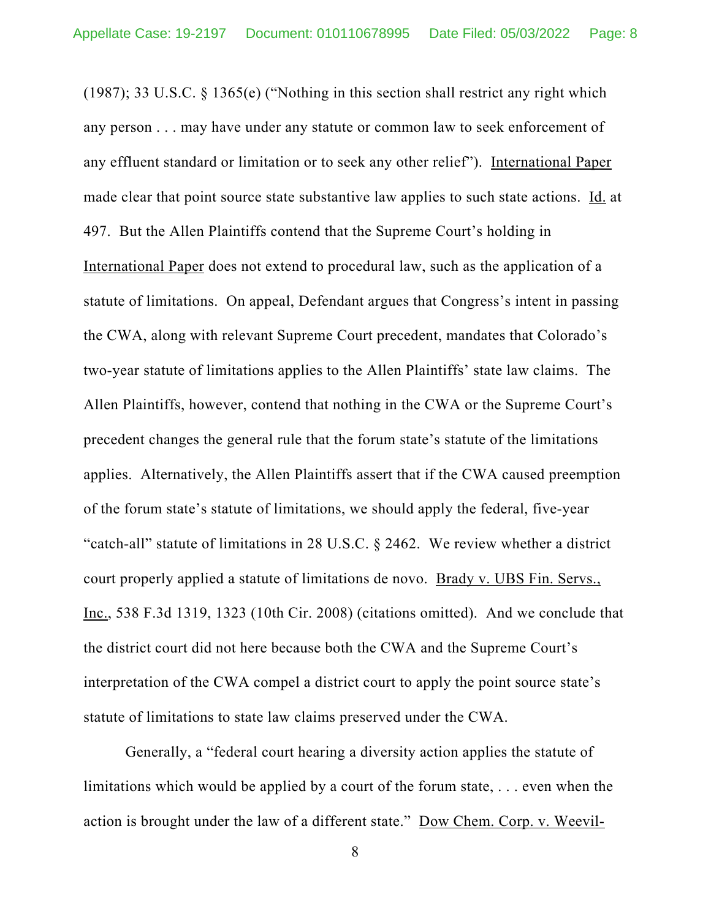(1987); 33 U.S.C. § 1365(e) ("Nothing in this section shall restrict any right which any person . . . may have under any statute or common law to seek enforcement of any effluent standard or limitation or to seek any other relief"). International Paper made clear that point source state substantive law applies to such state actions. Id. at 497. But the Allen Plaintiffs contend that the Supreme Court's holding in International Paper does not extend to procedural law, such as the application of a statute of limitations. On appeal, Defendant argues that Congress's intent in passing the CWA, along with relevant Supreme Court precedent, mandates that Colorado's two-year statute of limitations applies to the Allen Plaintiffs' state law claims. The Allen Plaintiffs, however, contend that nothing in the CWA or the Supreme Court's precedent changes the general rule that the forum state's statute of the limitations applies. Alternatively, the Allen Plaintiffs assert that if the CWA caused preemption of the forum state's statute of limitations, we should apply the federal, five-year "catch-all" statute of limitations in 28 U.S.C. § 2462. We review whether a district court properly applied a statute of limitations de novo. Brady v. UBS Fin. Servs., Inc., 538 F.3d 1319, 1323 (10th Cir. 2008) (citations omitted). And we conclude that the district court did not here because both the CWA and the Supreme Court's interpretation of the CWA compel a district court to apply the point source state's statute of limitations to state law claims preserved under the CWA.

Generally, a "federal court hearing a diversity action applies the statute of limitations which would be applied by a court of the forum state, . . . even when the action is brought under the law of a different state." Dow Chem. Corp. v. Weevil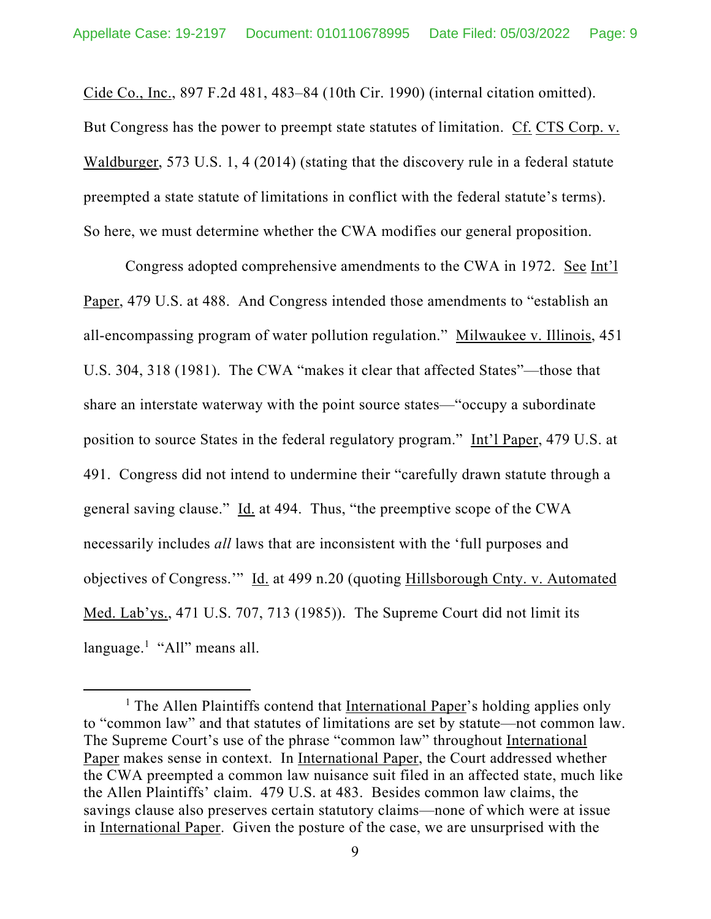Cide Co., Inc., 897 F.2d 481, 483–84 (10th Cir. 1990) (internal citation omitted). But Congress has the power to preempt state statutes of limitation. Cf. CTS Corp. v. Waldburger, 573 U.S. 1, 4 (2014) (stating that the discovery rule in a federal statute preempted a state statute of limitations in conflict with the federal statute's terms). So here, we must determine whether the CWA modifies our general proposition.

Congress adopted comprehensive amendments to the CWA in 1972. See Int'l Paper, 479 U.S. at 488. And Congress intended those amendments to "establish an all-encompassing program of water pollution regulation." Milwaukee v. Illinois, 451 U.S. 304, 318 (1981). The CWA "makes it clear that affected States"—those that share an interstate waterway with the point source states—"occupy a subordinate position to source States in the federal regulatory program." Int'l Paper, 479 U.S. at 491. Congress did not intend to undermine their "carefully drawn statute through a general saving clause." Id. at 494. Thus, "the preemptive scope of the CWA necessarily includes *all* laws that are inconsistent with the 'full purposes and objectives of Congress.'" Id. at 499 n.20 (quoting Hillsborough Cnty. v. Automated Med. Lab'ys., 471 U.S. 707, 713 (1985)). The Supreme Court did not limit its language.<sup>1</sup> "All" means all.

<sup>&</sup>lt;sup>1</sup> The Allen Plaintiffs contend that International Paper's holding applies only to "common law" and that statutes of limitations are set by statute—not common law. The Supreme Court's use of the phrase "common law" throughout International Paper makes sense in context. In International Paper, the Court addressed whether the CWA preempted a common law nuisance suit filed in an affected state, much like the Allen Plaintiffs' claim. 479 U.S. at 483. Besides common law claims, the savings clause also preserves certain statutory claims—none of which were at issue in International Paper. Given the posture of the case, we are unsurprised with the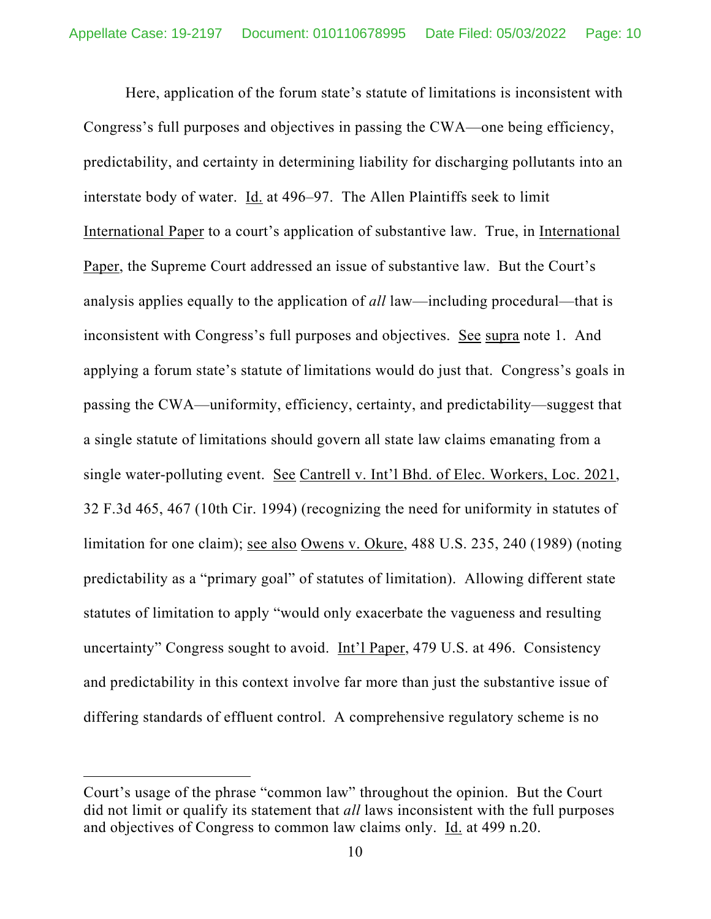Here, application of the forum state's statute of limitations is inconsistent with Congress's full purposes and objectives in passing the CWA—one being efficiency, predictability, and certainty in determining liability for discharging pollutants into an interstate body of water. Id. at 496–97. The Allen Plaintiffs seek to limit International Paper to a court's application of substantive law. True, in International Paper, the Supreme Court addressed an issue of substantive law. But the Court's analysis applies equally to the application of *all* law—including procedural—that is inconsistent with Congress's full purposes and objectives. See supra note 1. And applying a forum state's statute of limitations would do just that. Congress's goals in passing the CWA—uniformity, efficiency, certainty, and predictability—suggest that a single statute of limitations should govern all state law claims emanating from a single water-polluting event. See Cantrell v. Int'l Bhd. of Elec. Workers, Loc. 2021, 32 F.3d 465, 467 (10th Cir. 1994) (recognizing the need for uniformity in statutes of limitation for one claim); see also Owens v. Okure, 488 U.S. 235, 240 (1989) (noting predictability as a "primary goal" of statutes of limitation). Allowing different state statutes of limitation to apply "would only exacerbate the vagueness and resulting uncertainty" Congress sought to avoid. Int'l Paper, 479 U.S. at 496. Consistency and predictability in this context involve far more than just the substantive issue of differing standards of effluent control. A comprehensive regulatory scheme is no

Court's usage of the phrase "common law" throughout the opinion. But the Court did not limit or qualify its statement that *all* laws inconsistent with the full purposes and objectives of Congress to common law claims only. Id. at 499 n.20.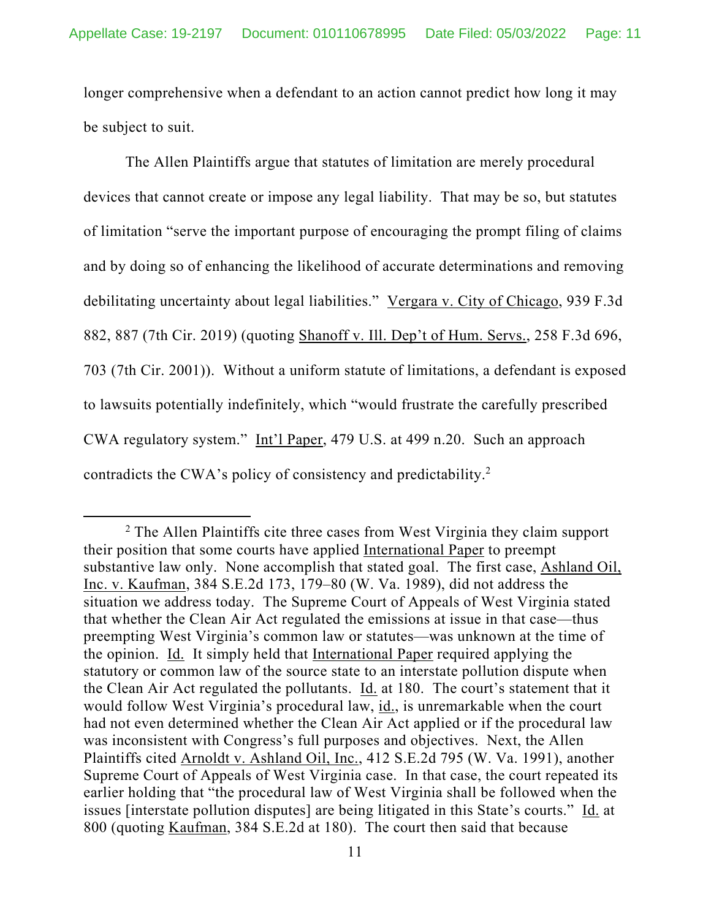longer comprehensive when a defendant to an action cannot predict how long it may be subject to suit.

The Allen Plaintiffs argue that statutes of limitation are merely procedural devices that cannot create or impose any legal liability. That may be so, but statutes of limitation "serve the important purpose of encouraging the prompt filing of claims and by doing so of enhancing the likelihood of accurate determinations and removing debilitating uncertainty about legal liabilities." Vergara v. City of Chicago, 939 F.3d 882, 887 (7th Cir. 2019) (quoting Shanoff v. Ill. Dep't of Hum. Servs., 258 F.3d 696, 703 (7th Cir. 2001)). Without a uniform statute of limitations, a defendant is exposed to lawsuits potentially indefinitely, which "would frustrate the carefully prescribed CWA regulatory system." Int'l Paper, 479 U.S. at 499 n.20. Such an approach contradicts the CWA's policy of consistency and predictability.2

<sup>&</sup>lt;sup>2</sup> The Allen Plaintiffs cite three cases from West Virginia they claim support their position that some courts have applied International Paper to preempt substantive law only. None accomplish that stated goal. The first case, Ashland Oil, Inc. v. Kaufman, 384 S.E.2d 173, 179–80 (W. Va. 1989), did not address the situation we address today. The Supreme Court of Appeals of West Virginia stated that whether the Clean Air Act regulated the emissions at issue in that case—thus preempting West Virginia's common law or statutes—was unknown at the time of the opinion. Id. It simply held that International Paper required applying the statutory or common law of the source state to an interstate pollution dispute when the Clean Air Act regulated the pollutants. Id. at 180. The court's statement that it would follow West Virginia's procedural law, id., is unremarkable when the court had not even determined whether the Clean Air Act applied or if the procedural law was inconsistent with Congress's full purposes and objectives. Next, the Allen Plaintiffs cited Arnoldt v. Ashland Oil, Inc., 412 S.E.2d 795 (W. Va. 1991), another Supreme Court of Appeals of West Virginia case. In that case, the court repeated its earlier holding that "the procedural law of West Virginia shall be followed when the issues [interstate pollution disputes] are being litigated in this State's courts." Id. at 800 (quoting Kaufman, 384 S.E.2d at 180). The court then said that because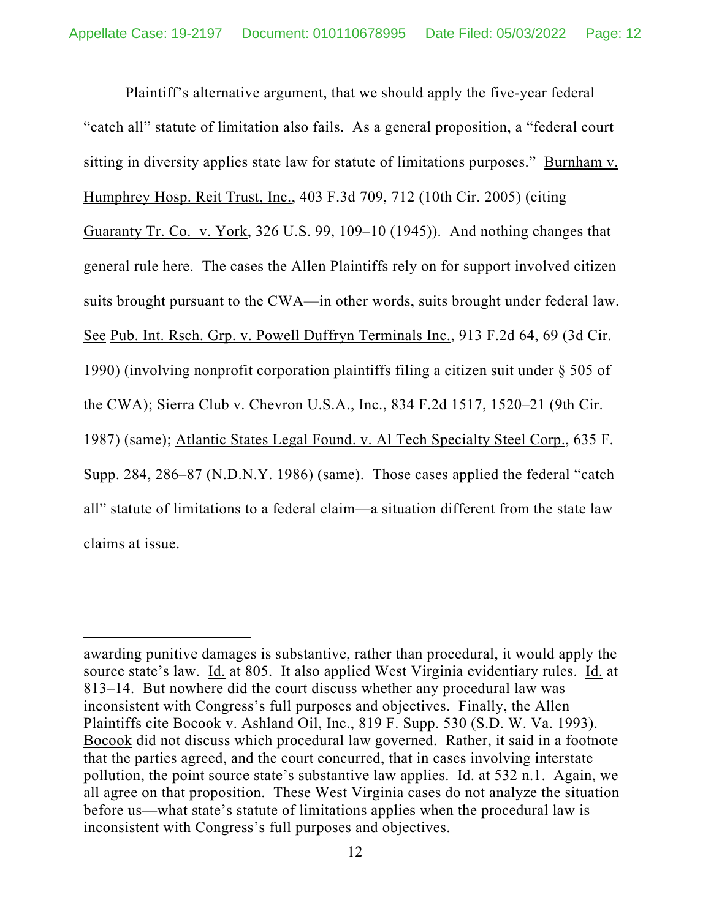Plaintiff's alternative argument, that we should apply the five-year federal "catch all" statute of limitation also fails. As a general proposition, a "federal court sitting in diversity applies state law for statute of limitations purposes." Burnham v. Humphrey Hosp. Reit Trust, Inc., 403 F.3d 709, 712 (10th Cir. 2005) (citing Guaranty Tr. Co. v. York, 326 U.S. 99, 109–10 (1945)). And nothing changes that general rule here. The cases the Allen Plaintiffs rely on for support involved citizen suits brought pursuant to the CWA—in other words, suits brought under federal law. See Pub. Int. Rsch. Grp. v. Powell Duffryn Terminals Inc., 913 F.2d 64, 69 (3d Cir. 1990) (involving nonprofit corporation plaintiffs filing a citizen suit under § 505 of the CWA); Sierra Club v. Chevron U.S.A., Inc., 834 F.2d 1517, 1520–21 (9th Cir. 1987) (same); Atlantic States Legal Found. v. Al Tech Specialty Steel Corp., 635 F. Supp. 284, 286–87 (N.D.N.Y. 1986) (same). Those cases applied the federal "catch all" statute of limitations to a federal claim—a situation different from the state law claims at issue.

awarding punitive damages is substantive, rather than procedural, it would apply the source state's law. Id. at 805. It also applied West Virginia evidentiary rules. Id. at 813–14. But nowhere did the court discuss whether any procedural law was inconsistent with Congress's full purposes and objectives. Finally, the Allen Plaintiffs cite Bocook v. Ashland Oil, Inc., 819 F. Supp. 530 (S.D. W. Va. 1993). Bocook did not discuss which procedural law governed. Rather, it said in a footnote that the parties agreed, and the court concurred, that in cases involving interstate pollution, the point source state's substantive law applies. Id. at 532 n.1. Again, we all agree on that proposition. These West Virginia cases do not analyze the situation before us—what state's statute of limitations applies when the procedural law is inconsistent with Congress's full purposes and objectives.